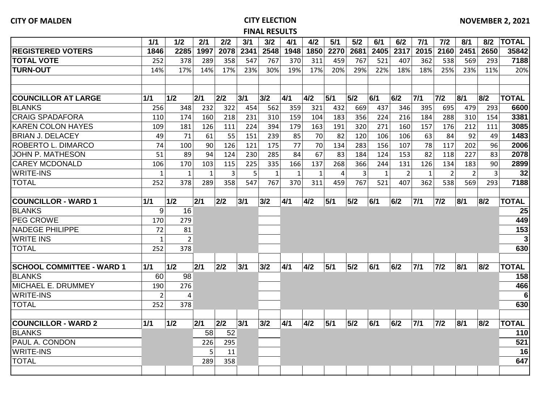## **CITY OF MALDEN CITY ELECTION FINAL RESULTS**

|                                  | 1/1            | 1/2            | 2/1          | 2/2  | 3/1  | 3/2          | 4/1          | 4/2          | 5/1  | 5/2  | 6/1          | 6/2            | 7/1          | 7/2            | 8/1            | 8/2            | <b>TOTAL</b> |
|----------------------------------|----------------|----------------|--------------|------|------|--------------|--------------|--------------|------|------|--------------|----------------|--------------|----------------|----------------|----------------|--------------|
| <b>REGISTERED VOTERS</b>         | 1846           | 2285           | 1997         | 2078 | 2341 | 2548         | 1948         | 1850         | 2270 | 2681 | 2405         | 2317           | 2015         | 2160           | 2451           | 2650           | 35842        |
| <b>TOTAL VOTE</b>                | 252            | 378            | 289          | 358  | 547  | 767          | 370          | 311          | 459  | 767  | 521          | 407            | 362          | 538            | 569            | 293            | 7188         |
| <b>TURN-OUT</b>                  | 14%            | 17%            | 14%          | 17%  | 23%  | 30%          | 19%          | 17%          | 20%  | 29%  | 22%          | 18%            | 18%          | 25%            | 23%            | 11%            | 20%          |
|                                  |                |                |              |      |      |              |              |              |      |      |              |                |              |                |                |                |              |
|                                  |                |                |              |      |      |              |              |              |      |      |              |                |              |                |                |                |              |
| <b>COUNCILLOR AT LARGE</b>       | 1/1            | 1/2            | 2/1          | 2/2  | 3/1  | 3/2          | 4/1          | 4/2          | 5/1  | 5/2  | 6/1          | 6/2            | 7/1          | $7/2$          | 8/1            | 8/2            | <b>TOTAL</b> |
| <b>BLANKS</b>                    | 256            | 348            | 232          | 322  | 454  | 562          | 359          | 321          | 432  | 669  | 437          | 346            | 395          | 695            | 479            | 293            | 6600         |
| <b>CRAIG SPADAFORA</b>           | 110            | 174            | 160          | 218  | 231  | 310          | 159          | 104          | 183  | 356  | 224          | 216            | 184          | 288            | 310            | 154            | 3381         |
| <b>KAREN COLON HAYES</b>         | 109            | 181            | 126          | 111  | 224  | 394          | 179          | 163          | 191  | 320  | 271          | 160            | 157          | 176            | 212            | 111            | 3085         |
| <b>BRIAN J. DELACEY</b>          | 49             | 71             | 61           | 55   | 151  | 239          | 85           | 70           | 82   | 120  | 106          | 106            | 63           | 84             | 92             | 49             | 1483         |
| ROBERTO L. DIMARCO               | 74             | 100            | 90           | 126  | 121  | 175          | 77           | 70           | 134  | 283  | 156          | 107            | 78           | 117            | 202            | 96             | 2006         |
| <b>JOHN P. MATHESON</b>          | 51             | 89             | 94           | 124  | 230  | 285          | 84           | 67           | 83   | 184  | 124          | 153            | 82           | 118            | 227            | 83             | 2078         |
| <b>CAREY MCDONALD</b>            | 106            | 170            | 103          | 115  | 225  | 335          | 166          | 137          | 268  | 366  | 244          | 131            | 126          | 134            | 183            | 90             | 2899         |
| <b>WRITE-INS</b>                 | $\mathbf{1}$   | $\mathbf{1}$   | $\mathbf{1}$ | 3    | 5    | $\mathbf{1}$ | $\mathbf{1}$ | $\mathbf{1}$ | 4    | 3    | $\mathbf{1}$ | $\overline{2}$ | $\mathbf{1}$ | $\overline{2}$ | $\overline{2}$ | $\overline{3}$ | 32           |
| <b>TOTAL</b>                     | 252            | 378            | 289          | 358  | 547  | 767          | 370          | 311          | 459  | 767  | 521          | 407            | 362          | 538            | 569            | 293            | 7188         |
|                                  |                |                |              |      |      |              |              |              |      |      |              |                |              |                |                |                |              |
| <b>COUNCILLOR - WARD 1</b>       | 1/1            | 1/2            | 2/1          | 2/2  | 3/1  | 3/2          | 4/1          | 4/2          | 5/1  | 5/2  | 6/1          | 6/2            | $7/1$        | $7/2$          | 8/1            | 8/2            | <b>TOTAL</b> |
| <b>BLANKS</b>                    | 9              | 16             |              |      |      |              |              |              |      |      |              |                |              |                |                |                | 25           |
| <b>PEG CROWE</b>                 | 170            | 279            |              |      |      |              |              |              |      |      |              |                |              |                |                |                | 449          |
| <b>NADEGE PHILIPPE</b>           | 72             | 81             |              |      |      |              |              |              |      |      |              |                |              |                |                |                | 153          |
| <b>WRITE INS</b>                 | $\mathbf{1}$   | $\overline{2}$ |              |      |      |              |              |              |      |      |              |                |              |                |                |                | 3            |
| <b>TOTAL</b>                     | 252            | 378            |              |      |      |              |              |              |      |      |              |                |              |                |                |                | 630          |
|                                  |                |                |              |      |      |              |              |              |      |      |              |                |              |                |                |                |              |
| <b>SCHOOL COMMITTEE - WARD 1</b> | 1/1            | 1/2            | 2/1          | 2/2  | 3/1  | 3/2          | 4/1          | 4/2          | 5/1  | 5/2  | 6/1          | 6/2            | 7/1          | $7/2$          | 8/1            | 8/2            | <b>TOTAL</b> |
| <b>BLANKS</b>                    | 60             | 98             |              |      |      |              |              |              |      |      |              |                |              |                |                |                | 158          |
| <b>MICHAEL E. DRUMMEY</b>        | 190            | 276            |              |      |      |              |              |              |      |      |              |                |              |                |                |                | 466          |
| <b>WRITE-INS</b>                 | $\overline{2}$ | 4              |              |      |      |              |              |              |      |      |              |                |              |                |                |                | 6            |
| <b>TOTAL</b>                     | 252            | 378            |              |      |      |              |              |              |      |      |              |                |              |                |                |                | 630          |
|                                  |                |                |              |      |      |              |              |              |      |      |              |                |              |                |                |                |              |
| <b>COUNCILLOR - WARD 2</b>       | 1/1            | $1/2$          | 2/1          | 2/2  | 3/1  | 3/2          | 4/1          | 4/2          | 5/1  | 5/2  | 6/1          | 6/2            | 7/1          | $7/2$          | 8/1            | 8/2            | <b>TOTAL</b> |
| <b>BLANKS</b>                    |                |                | 58           | 52   |      |              |              |              |      |      |              |                |              |                |                |                | 110          |
| PAUL A. CONDON                   |                |                | 226          | 295  |      |              |              |              |      |      |              |                |              |                |                |                | 521          |
| <b>WRITE-INS</b>                 |                |                | 5            | 11   |      |              |              |              |      |      |              |                |              |                |                |                | 16           |
| <b>TOTAL</b>                     |                |                | 289          | 358  |      |              |              |              |      |      |              |                |              |                |                |                | 647          |
|                                  |                |                |              |      |      |              |              |              |      |      |              |                |              |                |                |                |              |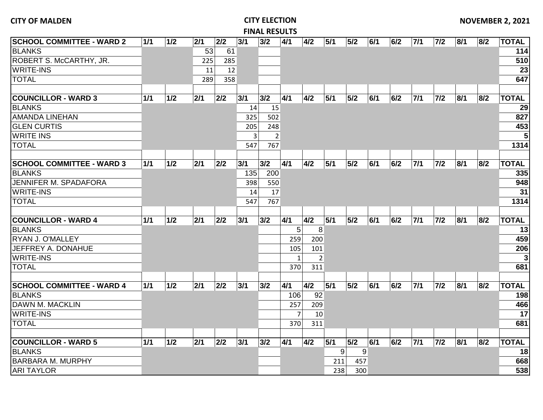|                                  |       |       |     |     |     | <b>FINAL RESULTS</b> |                |                |                 |                  |     |     |       |       |     |     |              |
|----------------------------------|-------|-------|-----|-----|-----|----------------------|----------------|----------------|-----------------|------------------|-----|-----|-------|-------|-----|-----|--------------|
| <b>SCHOOL COMMITTEE - WARD 2</b> | 1/1   | $1/2$ | 2/1 | 2/2 | 3/1 | 3/2                  | 4/1            | 4/2            | 5/1             | 5/2              | 6/1 | 6/2 | 7/1   | $7/2$ | 8/1 | 8/2 | <b>TOTAL</b> |
| <b>BLANKS</b>                    |       |       | 53  | 61  |     |                      |                |                |                 |                  |     |     |       |       |     |     | 114          |
| ROBERT S. McCARTHY, JR.          |       |       | 225 | 285 |     |                      |                |                |                 |                  |     |     |       |       |     |     | 510          |
| <b>WRITE-INS</b>                 |       |       | 11  | 12  |     |                      |                |                |                 |                  |     |     |       |       |     |     | 23           |
| <b>TOTAL</b>                     |       |       | 289 | 358 |     |                      |                |                |                 |                  |     |     |       |       |     |     | 647          |
|                                  |       |       |     |     |     |                      |                |                |                 |                  |     |     |       |       |     |     |              |
| <b>COUNCILLOR - WARD 3</b>       | 1/1   | $1/2$ | 2/1 | 2/2 | 3/1 | 3/2                  | 4/1            | 4/2            | 5/1             | 5/2              | 6/1 | 6/2 | $7/1$ | $7/2$ | 8/1 | 8/2 | <b>TOTAL</b> |
| <b>BLANKS</b>                    |       |       |     |     | 14  | 15                   |                |                |                 |                  |     |     |       |       |     |     | 29           |
| <b>AMANDA LINEHAN</b>            |       |       |     |     | 325 | 502                  |                |                |                 |                  |     |     |       |       |     |     | 827          |
| <b>GLEN CURTIS</b>               |       |       |     |     | 205 | 248                  |                |                |                 |                  |     |     |       |       |     |     | 453          |
| <b>WRITE INS</b>                 |       |       |     |     |     | $\overline{3}$       | $\overline{2}$ |                |                 |                  |     |     |       |       |     |     | 5            |
| <b>TOTAL</b>                     |       |       |     |     | 547 | 767                  |                |                |                 |                  |     |     |       |       |     |     | 1314         |
|                                  |       |       |     |     |     |                      |                |                |                 |                  |     |     |       |       |     |     |              |
| <b>SCHOOL COMMITTEE - WARD 3</b> | 1/1   | 1/2   | 2/1 | 2/2 | 3/1 | 3/2                  | 4/1            | 4/2            | 5/1             | 5/2              | 6/1 | 6/2 | $7/1$ | $7/2$ | 8/1 | 8/2 | <b>TOTAL</b> |
| <b>BLANKS</b>                    |       |       |     |     | 135 | 200                  |                |                |                 |                  |     |     |       |       |     |     | 335          |
| <b>JENNIFER M. SPADAFORA</b>     |       |       |     |     | 398 | 550                  |                |                |                 |                  |     |     |       |       |     |     | 948          |
| <b>WRITE-INS</b>                 |       |       |     |     | 14  | 17                   |                |                |                 |                  |     |     |       |       |     |     | 31           |
| <b>TOTAL</b>                     |       |       |     |     | 547 | 767                  |                |                |                 |                  |     |     |       |       |     |     | 1314         |
|                                  |       |       |     |     |     |                      |                |                |                 |                  |     |     |       |       |     |     |              |
| <b>COUNCILLOR - WARD 4</b>       | 1/1   | 1/2   | 2/1 | 2/2 | 3/1 | 3/2                  | 4/1            | 4/2            | 5/1             | 5/2              | 6/1 | 6/2 | 7/1   | $7/2$ | 8/1 | 8/2 | <b>TOTAL</b> |
| <b>BLANKS</b>                    |       |       |     |     |     |                      |                | 5<br>8         |                 |                  |     |     |       |       |     |     | 13           |
| <b>RYAN J. O'MALLEY</b>          |       |       |     |     |     |                      | 259            | 200            |                 |                  |     |     |       |       |     |     | 459          |
| <b>JEFFREY A. DONAHUE</b>        |       |       |     |     |     |                      | 105            | 101            |                 |                  |     |     |       |       |     |     | 206          |
| <b>WRITE-INS</b>                 |       |       |     |     |     |                      | $\mathbf{1}$   | $\overline{2}$ |                 |                  |     |     |       |       |     |     | 3            |
| <b>TOTAL</b>                     |       |       |     |     |     |                      | 370            | 311            |                 |                  |     |     |       |       |     |     | 681          |
|                                  |       |       |     |     |     |                      |                |                |                 |                  |     |     |       |       |     |     |              |
| <b>SCHOOL COMMITTEE - WARD 4</b> | $1/1$ | 1/2   | 2/1 | 2/2 | 3/1 | 3/2                  | 4/1            | 4/2            | 5/1             | 5/2              | 6/1 | 6/2 | $7/1$ | $7/2$ | 8/1 | 8/2 | <b>TOTAL</b> |
| <b>BLANKS</b>                    |       |       |     |     |     |                      | 106            | 92             |                 |                  |     |     |       |       |     |     | 198          |
| DAWN M. MACKLIN                  |       |       |     |     |     |                      | 257            | 209            |                 |                  |     |     |       |       |     |     | 466          |
| <b>WRITE-INS</b>                 |       |       |     |     |     |                      | $\overline{7}$ | 10             |                 |                  |     |     |       |       |     |     | 17           |
| <b>TOTAL</b>                     |       |       |     |     |     |                      | 370            | 311            |                 |                  |     |     |       |       |     |     | 681          |
|                                  |       |       |     |     |     |                      |                |                |                 |                  |     |     |       |       |     |     |              |
| <b>COUNCILLOR - WARD 5</b>       | 1/1   | 1/2   | 2/1 | 2/2 | 3/1 | 3/2                  | 4/1            | 4/2            | 5/1             | 5/2              | 6/1 | 6/2 | $7/1$ | $7/2$ | 8/1 | 8/2 | <b>TOTAL</b> |
| <b>BLANKS</b>                    |       |       |     |     |     |                      |                |                | $\vert 9 \vert$ | $\boldsymbol{9}$ |     |     |       |       |     |     | 18           |
| <b>BARBARA M. MURPHY</b>         |       |       |     |     |     |                      |                |                | 211             | 457              |     |     |       |       |     |     | 668          |
| <b>ARI TAYLOR</b>                |       |       |     |     |     |                      |                |                | 238             | 300              |     |     |       |       |     |     | 538          |

**NOVEMBER 2, 2021**

**CITY OF MALDEN CITY ELECTION**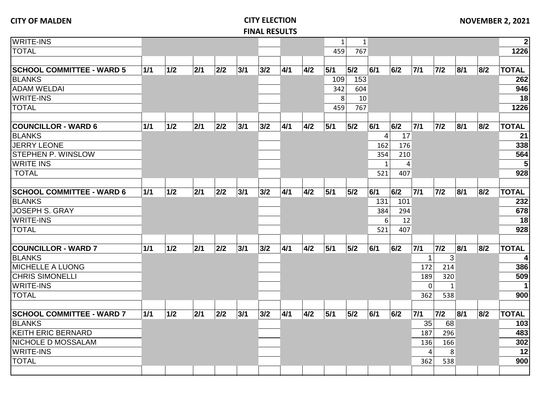| <b>WRITE-INS</b>                 |     |       |     |       |     |     |     |     | $1\vert$ | $\mathbf{1}$ |              |     |                |              |     |     | $\mathbf{2}$ |
|----------------------------------|-----|-------|-----|-------|-----|-----|-----|-----|----------|--------------|--------------|-----|----------------|--------------|-----|-----|--------------|
| <b>TOTAL</b>                     |     |       |     |       |     |     |     |     | 459      | 767          |              |     |                |              |     |     | 1226         |
|                                  |     |       |     |       |     |     |     |     |          |              |              |     |                |              |     |     |              |
| <b>SCHOOL COMMITTEE - WARD 5</b> | 1/1 | 1/2   | 2/1 | 2/2   | 3/1 | 3/2 | 4/1 | 4/2 | 5/1      | 5/2          | 6/1          | 6/2 | $7/1$          | $7/2$        | 8/1 | 8/2 | <b>TOTAL</b> |
| <b>BLANKS</b>                    |     |       |     |       |     |     |     |     | 109      | 153          |              |     |                |              |     |     | 262          |
| <b>ADAM WELDAI</b>               |     |       |     |       |     |     |     |     | 342      | 604          |              |     |                |              |     |     | 946          |
| <b>WRITE-INS</b>                 |     |       |     |       |     |     |     |     | 8        | 10           |              |     |                |              |     |     | 18           |
| <b>TOTAL</b>                     |     |       |     |       |     |     |     |     | 459      | 767          |              |     |                |              |     |     | 1226         |
|                                  |     |       |     |       |     |     |     |     |          |              |              |     |                |              |     |     |              |
| <b>COUNCILLOR - WARD 6</b>       | 1/1 | 1/2   | 2/1 | $2/2$ | 3/1 | 3/2 | 4/1 | 4/2 | 5/1      | 5/2          | 6/1          | 6/2 | $7/1$          | $7/2$        | 8/1 | 8/2 | <b>TOTAL</b> |
| <b>BLANKS</b>                    |     |       |     |       |     |     |     |     |          |              | $\vert$      | 17  |                |              |     |     | 21           |
| <b>JERRY LEONE</b>               |     |       |     |       |     |     |     |     |          |              | 162          | 176 |                |              |     |     | 338          |
| STEPHEN P. WINSLOW               |     |       |     |       |     |     |     |     |          |              | 354          | 210 |                |              |     |     | 564          |
| <b>WRITE INS</b>                 |     |       |     |       |     |     |     |     |          |              | $\mathbf{1}$ | 4   |                |              |     |     | 5            |
| <b>TOTAL</b>                     |     |       |     |       |     |     |     |     |          |              | 521          | 407 |                |              |     |     | 928          |
|                                  |     |       |     |       |     |     |     |     |          |              |              |     |                |              |     |     |              |
| <b>SCHOOL COMMITTEE - WARD 6</b> | 1/1 | 1/2   | 2/1 | $2/2$ | 3/1 | 3/2 | 4/1 | 4/2 | 5/1      | 5/2          | 6/1          | 6/2 | $7/1$          | $7/2$        | 8/1 | 8/2 | <b>TOTAL</b> |
| <b>BLANKS</b>                    |     |       |     |       |     |     |     |     |          |              | 131          | 101 |                |              |     |     | 232          |
| <b>JOSEPH S. GRAY</b>            |     |       |     |       |     |     |     |     |          |              | 384          | 294 |                |              |     |     | 678          |
| <b>WRITE-INS</b>                 |     |       |     |       |     |     |     |     |          |              | 6            | 12  |                |              |     |     | 18           |
| <b>TOTAL</b>                     |     |       |     |       |     |     |     |     |          |              | 521          | 407 |                |              |     |     | 928          |
|                                  |     |       |     |       |     |     |     |     |          |              |              |     |                |              |     |     |              |
| <b>COUNCILLOR - WARD 7</b>       | 1/1 | 1/2   | 2/1 | 2/2   | 3/1 | 3/2 | 4/1 | 4/2 | 5/1      | 5/2          | 6/1          | 6/2 | 7/1            | $7/2$        | 8/1 | 8/2 | <b>TOTAL</b> |
| <b>BLANKS</b>                    |     |       |     |       |     |     |     |     |          |              |              |     | $\mathbf{1}$   | 3            |     |     | 4            |
| MICHELLE A LUONG                 |     |       |     |       |     |     |     |     |          |              |              |     | 172            | 214          |     |     | 386          |
| <b>CHRIS SIMONELLI</b>           |     |       |     |       |     |     |     |     |          |              |              |     | 189            | 320          |     |     | 509          |
| <b>WRITE-INS</b>                 |     |       |     |       |     |     |     |     |          |              |              |     | $\mathbf 0$    | $\mathbf{1}$ |     |     | $\mathbf 1$  |
| <b>TOTAL</b>                     |     |       |     |       |     |     |     |     |          |              |              |     | 362            | 538          |     |     | 900          |
|                                  |     |       |     |       |     |     |     |     |          |              |              |     |                |              |     |     |              |
| <b>SCHOOL COMMITTEE - WARD 7</b> | 1/1 | $1/2$ | 2/1 | 2/2   | 3/1 | 3/2 | 4/1 | 4/2 | 5/1      | 5/2          | 6/1          | 6/2 | $7/1$          | $7/2$        | 8/1 | 8/2 | <b>TOTAL</b> |
| <b>BLANKS</b>                    |     |       |     |       |     |     |     |     |          |              |              |     | 35             | 68           |     |     | 103          |
| <b>KEITH ERIC BERNARD</b>        |     |       |     |       |     |     |     |     |          |              |              |     | 187            | 296          |     |     | 483          |
| NICHOLE D MOSSALAM               |     |       |     |       |     |     |     |     |          |              |              |     | 136            | 166          |     |     | 302          |
| <b>WRITE-INS</b>                 |     |       |     |       |     |     |     |     |          |              |              |     | $\overline{4}$ | 8            |     |     | 12           |
| <b>TOTAL</b>                     |     |       |     |       |     |     |     |     |          |              |              |     | 362            | 538          |     |     | 900          |
|                                  |     |       |     |       |     |     |     |     |          |              |              |     |                |              |     |     |              |
|                                  |     |       |     |       |     |     |     |     |          |              |              |     |                |              |     |     |              |

## **CITY OF MALDEN CITY ELECTION FINAL RESULTS**